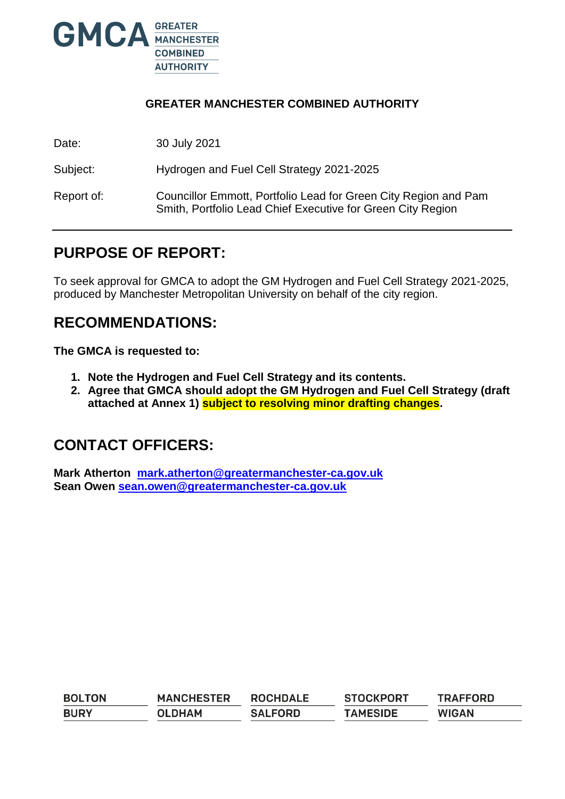

#### **GREATER MANCHESTER COMBINED AUTHORITY**

Date: 30 July 2021

Subject: Hydrogen and Fuel Cell Strategy 2021-2025

Report of: Councillor Emmott, Portfolio Lead for Green City Region and Pam Smith, Portfolio Lead Chief Executive for Green City Region

## **PURPOSE OF REPORT:**

To seek approval for GMCA to adopt the GM Hydrogen and Fuel Cell Strategy 2021-2025, produced by Manchester Metropolitan University on behalf of the city region.

### **RECOMMENDATIONS:**

**The GMCA is requested to:**

- **1. Note the Hydrogen and Fuel Cell Strategy and its contents.**
- **2. Agree that GMCA should adopt the GM Hydrogen and Fuel Cell Strategy (draft attached at Annex 1) subject to resolving minor drafting changes.**

### **CONTACT OFFICERS:**

**Mark Atherton [mark.atherton@greatermanchester-ca.gov.uk](mailto:mark.atherton@greatermanchester-ca.gov.uk) Sean Owen [sean.owen@greatermanchester-ca.gov.uk](mailto:sean.owen@greatermanchester-ca.gov.uk)**

| <b>BOLTON</b> | <b>MANCHESTER</b> | <b>ROCHDALE</b> | <b>STOCKPORT</b> | <b>TRAFFORD</b> |
|---------------|-------------------|-----------------|------------------|-----------------|
| <b>BURY</b>   | <b>OLDHAM</b>     | <b>SALFORD</b>  | <b>TAMESIDE</b>  | <b>WIGAN</b>    |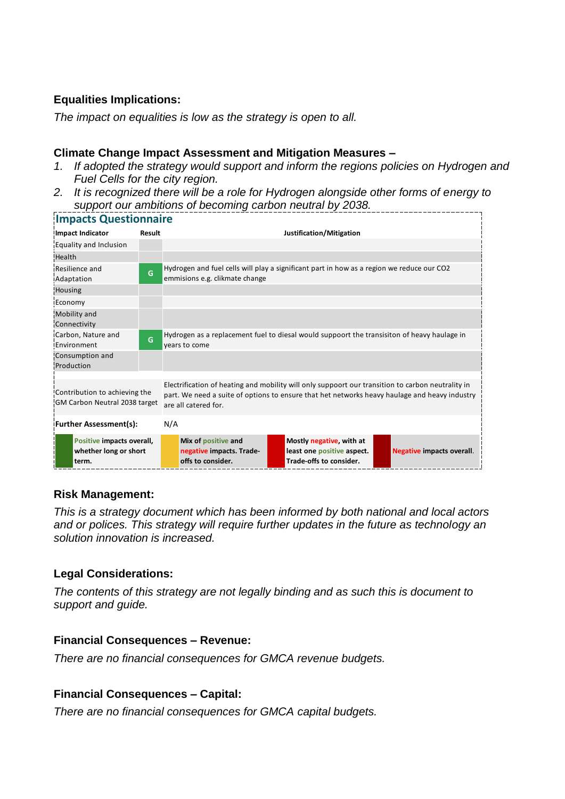#### **Equalities Implications:**

*The impact on equalities is low as the strategy is open to all.*

#### **Climate Change Impact Assessment and Mitigation Measures –**

- *1. If adopted the strategy would support and inform the regions policies on Hydrogen and Fuel Cells for the city region.*
- *2. It is recognized there will be a role for Hydrogen alongside other forms of energy to support our ambitions of becoming carbon neutral by 2038.*

| <b>Impacts Questionnaire</b>                                   |        |                                                                                                                                                                                                                            |                                                                                             |                                  |  |  |  |
|----------------------------------------------------------------|--------|----------------------------------------------------------------------------------------------------------------------------------------------------------------------------------------------------------------------------|---------------------------------------------------------------------------------------------|----------------------------------|--|--|--|
| <b>Impact Indicator</b>                                        | Result |                                                                                                                                                                                                                            | Justification/Mitigation                                                                    |                                  |  |  |  |
| Equality and Inclusion                                         |        |                                                                                                                                                                                                                            |                                                                                             |                                  |  |  |  |
| Health                                                         |        |                                                                                                                                                                                                                            |                                                                                             |                                  |  |  |  |
| Resilience and<br>Adaptation                                   | G      | emmisions e.g. clikmate change                                                                                                                                                                                             | Hydrogen and fuel cells will play a significant part in how as a region we reduce our CO2   |                                  |  |  |  |
| <b>Housing</b>                                                 |        |                                                                                                                                                                                                                            |                                                                                             |                                  |  |  |  |
| Economy                                                        |        |                                                                                                                                                                                                                            |                                                                                             |                                  |  |  |  |
| Mobility and<br>Connectivity                                   |        |                                                                                                                                                                                                                            |                                                                                             |                                  |  |  |  |
| Carbon, Nature and<br>Environment                              | G      | years to come                                                                                                                                                                                                              | Hydrogen as a replacement fuel to diesal would suppoort the transisiton of heavy haulage in |                                  |  |  |  |
| Consumption and<br>Production                                  |        |                                                                                                                                                                                                                            |                                                                                             |                                  |  |  |  |
|                                                                |        |                                                                                                                                                                                                                            |                                                                                             |                                  |  |  |  |
| Contribution to achieving the<br>GM Carbon Neutral 2038 target |        | Electrification of heating and mobility will only suppoort our transition to carbon neutrality in<br>part. We need a suite of options to ensure that het networks heavy haulage and heavy industry<br>are all catered for. |                                                                                             |                                  |  |  |  |
| <b>Further Assessment(s):</b>                                  |        | N/A                                                                                                                                                                                                                        |                                                                                             |                                  |  |  |  |
| Positive impacts overall,<br>whether long or short<br>term.    |        | Mix of positive and<br>negative impacts. Trade-<br>offs to consider.                                                                                                                                                       | Mostly negative, with at<br>least one positive aspect.<br>Trade-offs to consider.           | <b>Negative impacts overall.</b> |  |  |  |

#### **Risk Management:**

*This is a strategy document which has been informed by both national and local actors and or polices. This strategy will require further updates in the future as technology an solution innovation is increased.* 

#### **Legal Considerations:**

*The contents of this strategy are not legally binding and as such this is document to support and guide.*

#### **Financial Consequences – Revenue:**

*There are no financial consequences for GMCA revenue budgets.* 

#### **Financial Consequences – Capital:**

*There are no financial consequences for GMCA capital budgets.*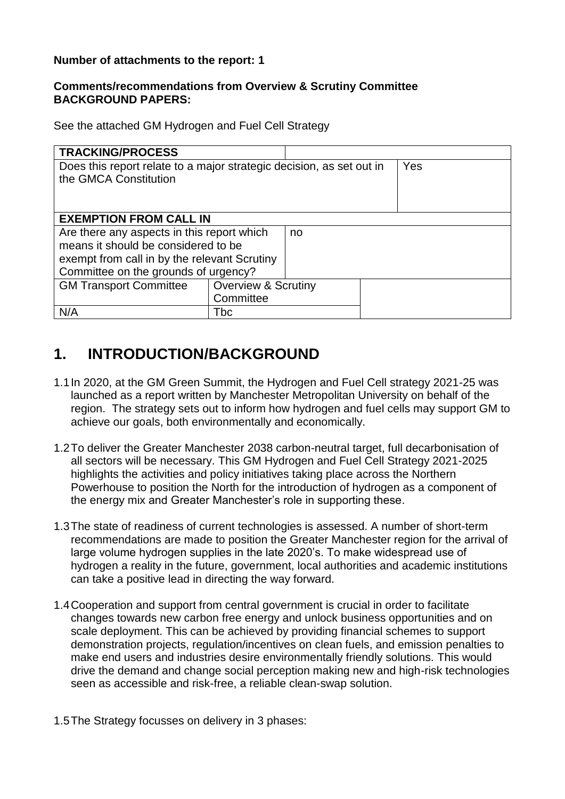#### **Number of attachments to the report: 1**

#### **Comments/recommendations from Overview & Scrutiny Committee BACKGROUND PAPERS:**

See the attached GM Hydrogen and Fuel Cell Strategy

| <b>TRACKING/PROCESS</b>                                              |                                |  |  |  |  |  |
|----------------------------------------------------------------------|--------------------------------|--|--|--|--|--|
| Does this report relate to a major strategic decision, as set out in | Yes                            |  |  |  |  |  |
| the GMCA Constitution                                                |                                |  |  |  |  |  |
|                                                                      |                                |  |  |  |  |  |
|                                                                      |                                |  |  |  |  |  |
| <b>EXEMPTION FROM CALL IN</b>                                        |                                |  |  |  |  |  |
| Are there any aspects in this report which<br>no                     |                                |  |  |  |  |  |
| means it should be considered to be                                  |                                |  |  |  |  |  |
| exempt from call in by the relevant Scrutiny                         |                                |  |  |  |  |  |
| Committee on the grounds of urgency?                                 |                                |  |  |  |  |  |
| <b>GM Transport Committee</b>                                        | <b>Overview &amp; Scrutiny</b> |  |  |  |  |  |
|                                                                      | Committee                      |  |  |  |  |  |
| N/A                                                                  | Tbc                            |  |  |  |  |  |

## **1. INTRODUCTION/BACKGROUND**

- 1.1In 2020, at the GM Green Summit, the Hydrogen and Fuel Cell strategy 2021-25 was launched as a report written by Manchester Metropolitan University on behalf of the region. The strategy sets out to inform how hydrogen and fuel cells may support GM to achieve our goals, both environmentally and economically.
- 1.2To deliver the Greater Manchester 2038 carbon-neutral target, full decarbonisation of all sectors will be necessary. This GM Hydrogen and Fuel Cell Strategy 2021-2025 highlights the activities and policy initiatives taking place across the Northern Powerhouse to position the North for the introduction of hydrogen as a component of the energy mix and Greater Manchester's role in supporting these.
- 1.3The state of readiness of current technologies is assessed. A number of short-term recommendations are made to position the Greater Manchester region for the arrival of large volume hydrogen supplies in the late 2020's. To make widespread use of hydrogen a reality in the future, government, local authorities and academic institutions can take a positive lead in directing the way forward.
- 1.4Cooperation and support from central government is crucial in order to facilitate changes towards new carbon free energy and unlock business opportunities and on scale deployment. This can be achieved by providing financial schemes to support demonstration projects, regulation/incentives on clean fuels, and emission penalties to make end users and industries desire environmentally friendly solutions. This would drive the demand and change social perception making new and high-risk technologies seen as accessible and risk-free, a reliable clean-swap solution.
- 1.5The Strategy focusses on delivery in 3 phases: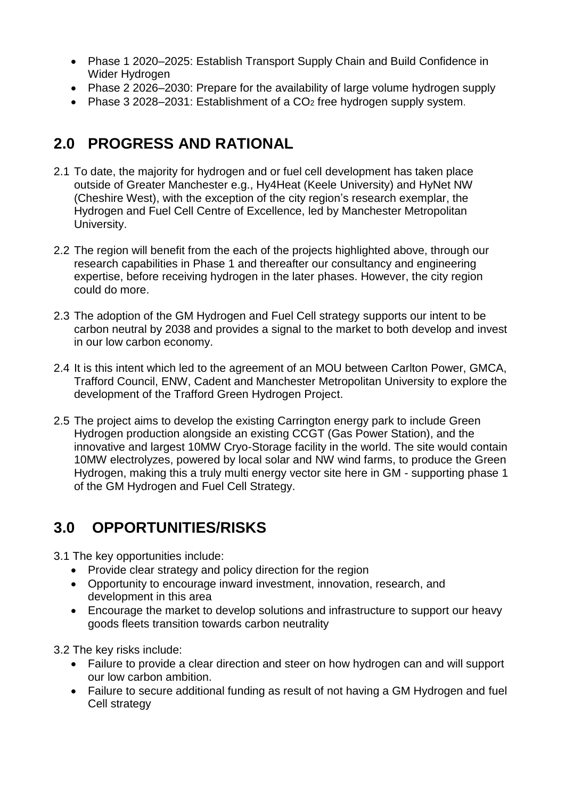- Phase 1 2020–2025: Establish Transport Supply Chain and Build Confidence in Wider Hydrogen
- Phase 2 2026–2030: Prepare for the availability of large volume hydrogen supply
- Phase 3 2028–2031: Establishment of a CO<sub>2</sub> free hydrogen supply system.

# **2.0 PROGRESS AND RATIONAL**

- 2.1 To date, the majority for hydrogen and or fuel cell development has taken place outside of Greater Manchester e.g., Hy4Heat (Keele University) and HyNet NW (Cheshire West), with the exception of the city region's research exemplar, the Hydrogen and Fuel Cell Centre of Excellence, led by Manchester Metropolitan University.
- 2.2 The region will benefit from the each of the projects highlighted above, through our research capabilities in Phase 1 and thereafter our consultancy and engineering expertise, before receiving hydrogen in the later phases. However, the city region could do more.
- 2.3 The adoption of the GM Hydrogen and Fuel Cell strategy supports our intent to be carbon neutral by 2038 and provides a signal to the market to both develop and invest in our low carbon economy.
- 2.4 It is this intent which led to the agreement of an MOU between Carlton Power, GMCA, Trafford Council, ENW, Cadent and Manchester Metropolitan University to explore the development of the Trafford Green Hydrogen Project.
- 2.5 The project aims to develop the existing Carrington energy park to include Green Hydrogen production alongside an existing CCGT (Gas Power Station), and the innovative and largest 10MW Cryo-Storage facility in the world. The site would contain 10MW electrolyzes, powered by local solar and NW wind farms, to produce the Green Hydrogen, making this a truly multi energy vector site here in GM - supporting phase 1 of the GM Hydrogen and Fuel Cell Strategy.

# **3.0 OPPORTUNITIES/RISKS**

3.1 The key opportunities include:

- Provide clear strategy and policy direction for the region
- Opportunity to encourage inward investment, innovation, research, and development in this area
- Encourage the market to develop solutions and infrastructure to support our heavy goods fleets transition towards carbon neutrality

3.2 The key risks include:

- Failure to provide a clear direction and steer on how hydrogen can and will support our low carbon ambition.
- Failure to secure additional funding as result of not having a GM Hydrogen and fuel Cell strategy